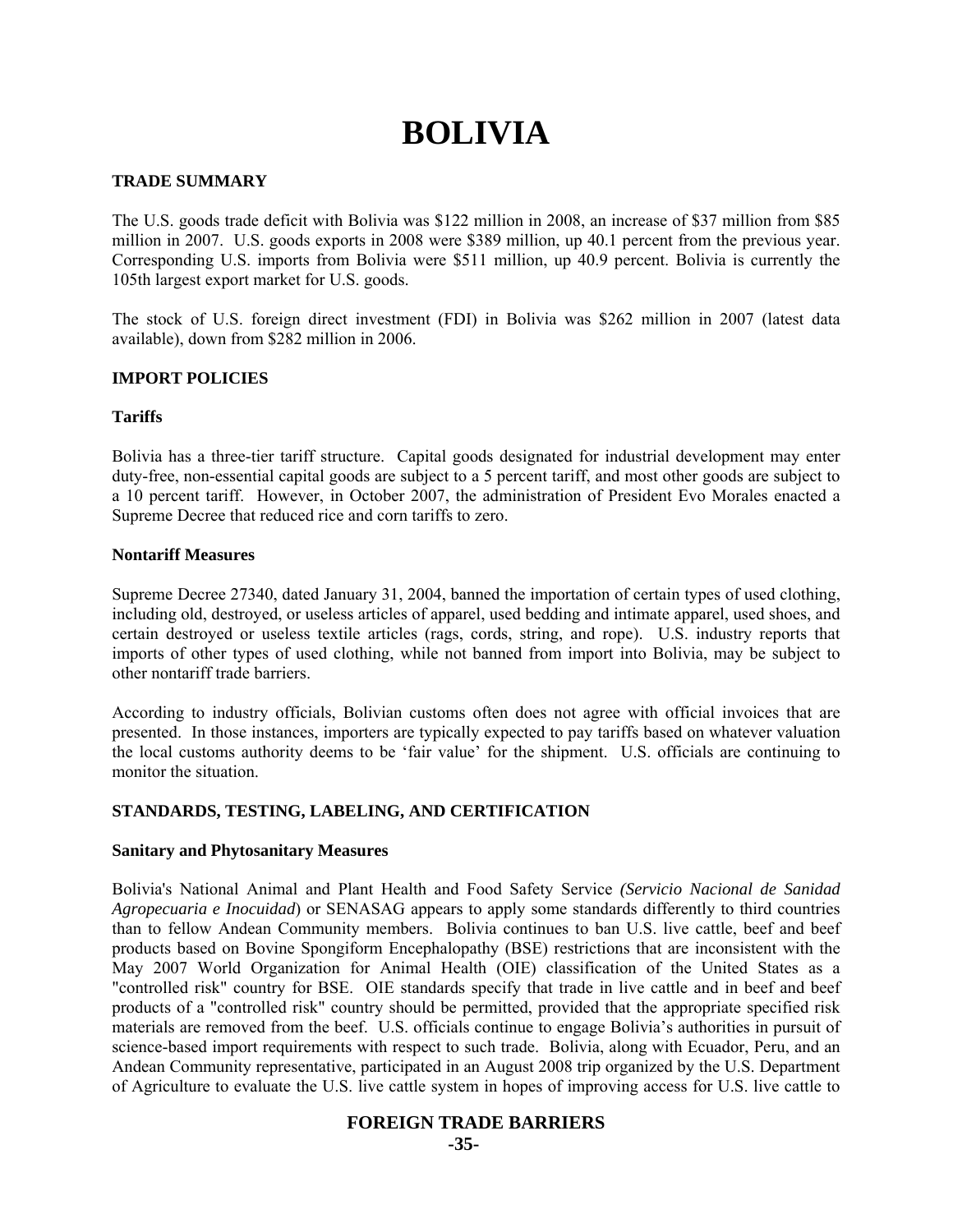# **BOLIVIA**

# **TRADE SUMMARY**

The U.S. goods trade deficit with Bolivia was \$122 million in 2008, an increase of \$37 million from \$85 million in 2007. U.S. goods exports in 2008 were \$389 million, up 40.1 percent from the previous year. Corresponding U.S. imports from Bolivia were \$511 million, up 40.9 percent. Bolivia is currently the 105th largest export market for U.S. goods.

The stock of U.S. foreign direct investment (FDI) in Bolivia was \$262 million in 2007 (latest data available), down from \$282 million in 2006.

# **IMPORT POLICIES**

# **Tariffs**

Bolivia has a three-tier tariff structure. Capital goods designated for industrial development may enter duty-free, non-essential capital goods are subject to a 5 percent tariff, and most other goods are subject to a 10 percent tariff. However, in October 2007, the administration of President Evo Morales enacted a Supreme Decree that reduced rice and corn tariffs to zero.

# **Nontariff Measures**

Supreme Decree 27340, dated January 31, 2004, banned the importation of certain types of used clothing, including old, destroyed, or useless articles of apparel, used bedding and intimate apparel, used shoes, and certain destroyed or useless textile articles (rags, cords, string, and rope). U.S. industry reports that imports of other types of used clothing, while not banned from import into Bolivia, may be subject to other nontariff trade barriers.

According to industry officials, Bolivian customs often does not agree with official invoices that are presented. In those instances, importers are typically expected to pay tariffs based on whatever valuation the local customs authority deems to be 'fair value' for the shipment. U.S. officials are continuing to monitor the situation.

# **STANDARDS, TESTING, LABELING, AND CERTIFICATION**

# **Sanitary and Phytosanitary Measures**

Bolivia's National Animal and Plant Health and Food Safety Service *(Servicio Nacional de Sanidad Agropecuaria e Inocuidad*) or SENASAG appears to apply some standards differently to third countries than to fellow Andean Community members. Bolivia continues to ban U.S. live cattle, beef and beef products based on Bovine Spongiform Encephalopathy (BSE) restrictions that are inconsistent with the May 2007 World Organization for Animal Health (OIE) classification of the United States as a "controlled risk" country for BSE. OIE standards specify that trade in live cattle and in beef and beef products of a "controlled risk" country should be permitted, provided that the appropriate specified risk materials are removed from the beef. U.S. officials continue to engage Bolivia's authorities in pursuit of science-based import requirements with respect to such trade. Bolivia, along with Ecuador, Peru, and an Andean Community representative, participated in an August 2008 trip organized by the U.S. Department of Agriculture to evaluate the U.S. live cattle system in hopes of improving access for U.S. live cattle to

# **FOREIGN TRADE BARRIERS**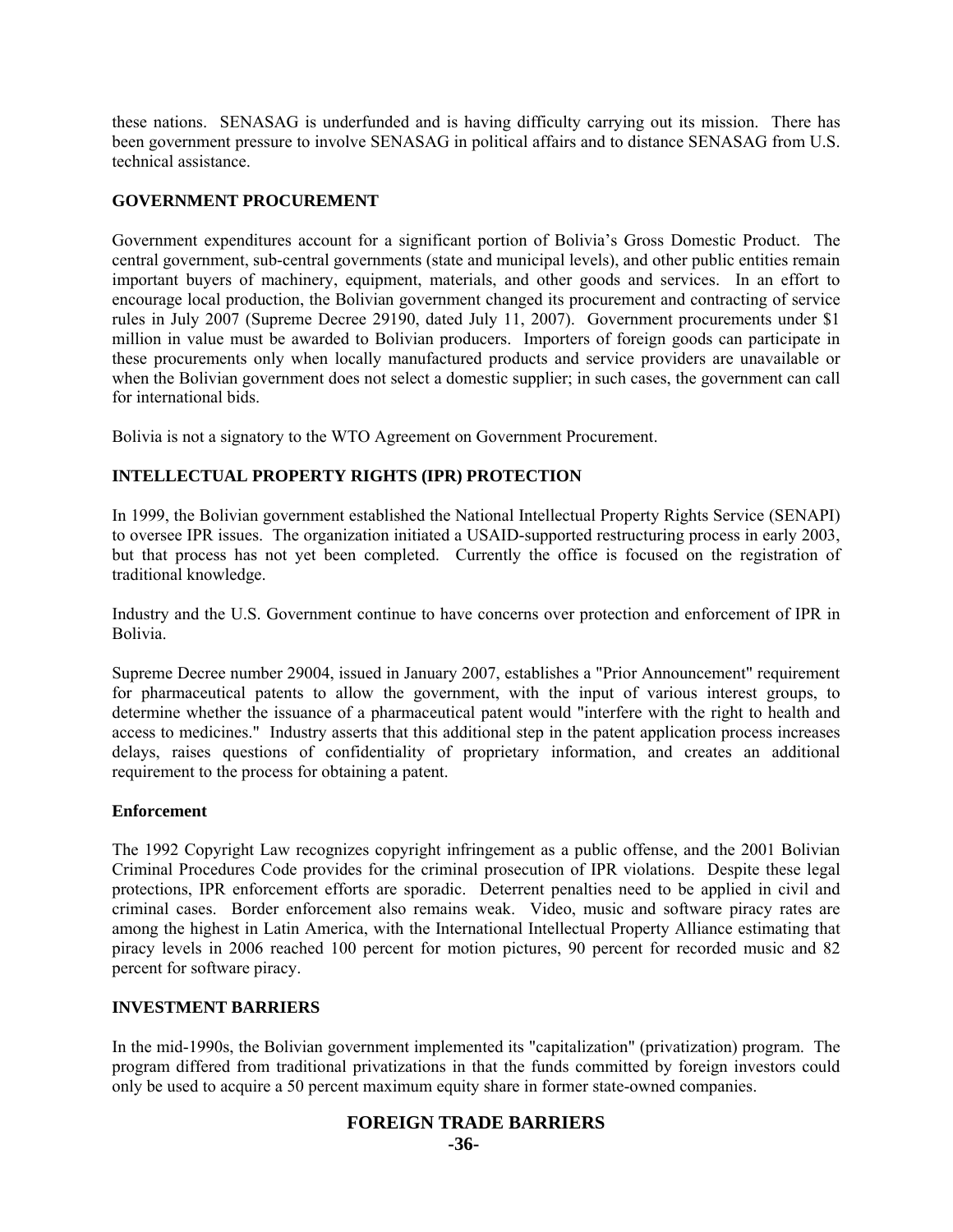these nations. SENASAG is underfunded and is having difficulty carrying out its mission. There has been government pressure to involve SENASAG in political affairs and to distance SENASAG from U.S. technical assistance.

# **GOVERNMENT PROCUREMENT**

Government expenditures account for a significant portion of Bolivia's Gross Domestic Product. The central government, sub-central governments (state and municipal levels), and other public entities remain important buyers of machinery, equipment, materials, and other goods and services. In an effort to encourage local production, the Bolivian government changed its procurement and contracting of service rules in July 2007 (Supreme Decree 29190, dated July 11, 2007). Government procurements under \$1 million in value must be awarded to Bolivian producers. Importers of foreign goods can participate in these procurements only when locally manufactured products and service providers are unavailable or when the Bolivian government does not select a domestic supplier; in such cases, the government can call for international bids.

Bolivia is not a signatory to the WTO Agreement on Government Procurement.

# **INTELLECTUAL PROPERTY RIGHTS (IPR) PROTECTION**

In 1999, the Bolivian government established the National Intellectual Property Rights Service (SENAPI) to oversee IPR issues. The organization initiated a USAID-supported restructuring process in early 2003, but that process has not yet been completed. Currently the office is focused on the registration of traditional knowledge.

Industry and the U.S. Government continue to have concerns over protection and enforcement of IPR in Bolivia.

Supreme Decree number 29004, issued in January 2007, establishes a "Prior Announcement" requirement for pharmaceutical patents to allow the government, with the input of various interest groups, to determine whether the issuance of a pharmaceutical patent would "interfere with the right to health and access to medicines." Industry asserts that this additional step in the patent application process increases delays, raises questions of confidentiality of proprietary information, and creates an additional requirement to the process for obtaining a patent.

#### **Enforcement**

The 1992 Copyright Law recognizes copyright infringement as a public offense, and the 2001 Bolivian Criminal Procedures Code provides for the criminal prosecution of IPR violations. Despite these legal protections, IPR enforcement efforts are sporadic. Deterrent penalties need to be applied in civil and criminal cases. Border enforcement also remains weak. Video, music and software piracy rates are among the highest in Latin America, with the International Intellectual Property Alliance estimating that piracy levels in 2006 reached 100 percent for motion pictures, 90 percent for recorded music and 82 percent for software piracy.

#### **INVESTMENT BARRIERS**

In the mid-1990s, the Bolivian government implemented its "capitalization" (privatization) program. The program differed from traditional privatizations in that the funds committed by foreign investors could only be used to acquire a 50 percent maximum equity share in former state-owned companies.

# **FOREIGN TRADE BARRIERS**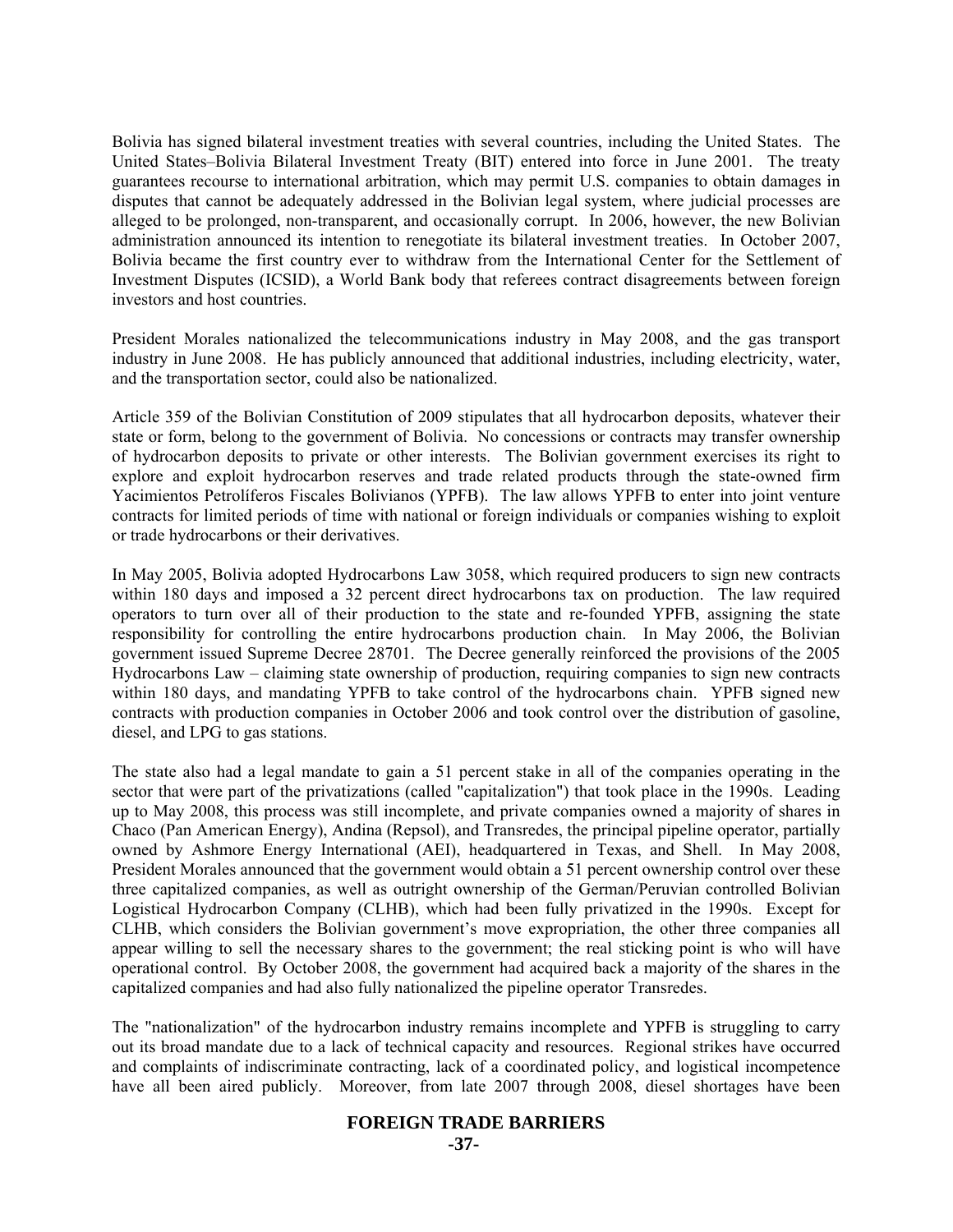Bolivia has signed bilateral investment treaties with several countries, including the United States. The United States–Bolivia Bilateral Investment Treaty (BIT) entered into force in June 2001. The treaty guarantees recourse to international arbitration, which may permit U.S. companies to obtain damages in disputes that cannot be adequately addressed in the Bolivian legal system, where judicial processes are alleged to be prolonged, non-transparent, and occasionally corrupt. In 2006, however, the new Bolivian administration announced its intention to renegotiate its bilateral investment treaties. In October 2007, Bolivia became the first country ever to withdraw from the International Center for the Settlement of Investment Disputes (ICSID), a World Bank body that referees contract disagreements between foreign investors and host countries.

President Morales nationalized the telecommunications industry in May 2008, and the gas transport industry in June 2008. He has publicly announced that additional industries, including electricity, water, and the transportation sector, could also be nationalized.

Article 359 of the Bolivian Constitution of 2009 stipulates that all hydrocarbon deposits, whatever their state or form, belong to the government of Bolivia. No concessions or contracts may transfer ownership of hydrocarbon deposits to private or other interests. The Bolivian government exercises its right to explore and exploit hydrocarbon reserves and trade related products through the state-owned firm Yacimientos Petrolíferos Fiscales Bolivianos (YPFB). The law allows YPFB to enter into joint venture contracts for limited periods of time with national or foreign individuals or companies wishing to exploit or trade hydrocarbons or their derivatives.

In May 2005, Bolivia adopted Hydrocarbons Law 3058, which required producers to sign new contracts within 180 days and imposed a 32 percent direct hydrocarbons tax on production. The law required operators to turn over all of their production to the state and re-founded YPFB, assigning the state responsibility for controlling the entire hydrocarbons production chain. In May 2006, the Bolivian government issued Supreme Decree 28701. The Decree generally reinforced the provisions of the 2005 Hydrocarbons Law – claiming state ownership of production, requiring companies to sign new contracts within 180 days, and mandating YPFB to take control of the hydrocarbons chain. YPFB signed new contracts with production companies in October 2006 and took control over the distribution of gasoline, diesel, and LPG to gas stations.

The state also had a legal mandate to gain a 51 percent stake in all of the companies operating in the sector that were part of the privatizations (called "capitalization") that took place in the 1990s. Leading up to May 2008, this process was still incomplete, and private companies owned a majority of shares in Chaco (Pan American Energy), Andina (Repsol), and Transredes, the principal pipeline operator, partially owned by Ashmore Energy International (AEI), headquartered in Texas, and Shell. In May 2008, President Morales announced that the government would obtain a 51 percent ownership control over these three capitalized companies, as well as outright ownership of the German/Peruvian controlled Bolivian Logistical Hydrocarbon Company (CLHB), which had been fully privatized in the 1990s. Except for CLHB, which considers the Bolivian government's move expropriation, the other three companies all appear willing to sell the necessary shares to the government; the real sticking point is who will have operational control. By October 2008, the government had acquired back a majority of the shares in the capitalized companies and had also fully nationalized the pipeline operator Transredes.

The "nationalization" of the hydrocarbon industry remains incomplete and YPFB is struggling to carry out its broad mandate due to a lack of technical capacity and resources. Regional strikes have occurred and complaints of indiscriminate contracting, lack of a coordinated policy, and logistical incompetence have all been aired publicly. Moreover, from late 2007 through 2008, diesel shortages have been

# **FOREIGN TRADE BARRIERS**